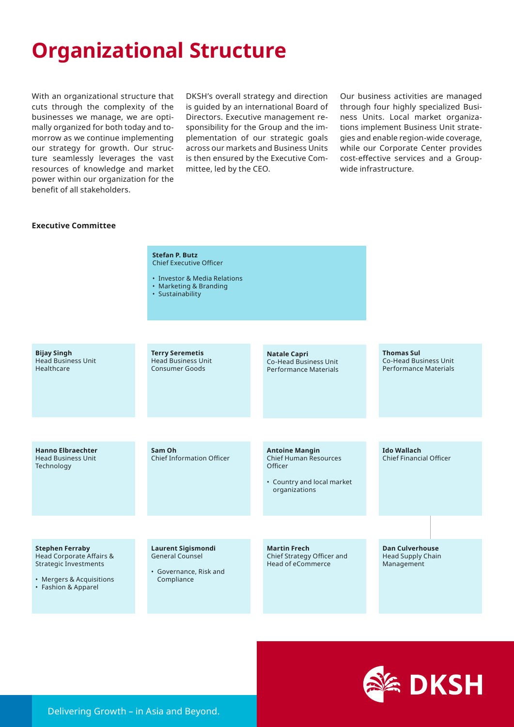## **Organizational Structure**

With an organizational structure that cuts through the complexity of the businesses we manage, we are optimally organized for both today and tomorrow as we continue implementing our strategy for growth. Our structure seamlessly leverages the vast resources of knowledge and market power within our organization for the benefit of all stakeholders.

DKSH's overall strategy and direction is guided by an international Board of Directors. Executive management responsibility for the Group and the implementation of our strategic goals across our markets and Business Units is then ensured by the Executive Committee, led by the CEO.

Our business activities are managed through four highly specialized Business Units. Local market organizations implement Business Unit strategies and enable region-wide coverage, while our Corporate Center provides cost-effective services and a Groupwide infrastructure.

## **Executive Committee**

## **Stefan P. Butz** Chief Executive Officer • Investor & Media Relations • Marketing & Branding • Sustainability **Terry Seremetis** Head Business Unit Consumer Goods **Bijay Singh** Head Business Unit Healthcare **Thomas Sul** Co-Head Business Unit Performance Materials **Natale Capri** Co-Head Business Unit Performance Materials **Laurent Sigismondi** General Counsel • Governance, Risk and Compliance **Antoine Mangin** Chief Human Resources **Officer** • Country and local market organizations **Hanno Elbraechter** Head Business Unit Technology **Ido Wallach** Chief Financial Officer **Dan Culverhouse** Head Supply Chain **Management Sam Oh** Chief Information Officer **Martin Frech** Chief Strategy Officer and Head of eCommerce **Stephen Ferraby** Head Corporate Affairs & Strategic Investments • Mergers & Acquisitions • Fashion & Apparel